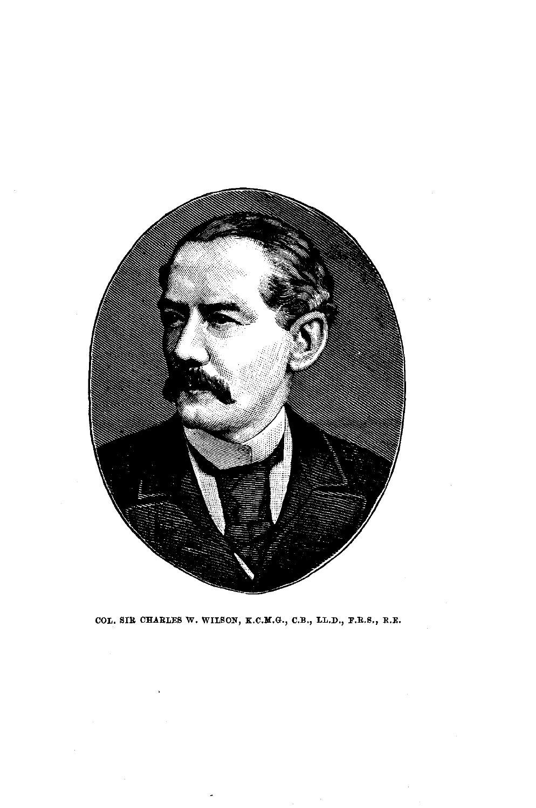

COL. SIR CHARLES W. WILSON, K.C.M.G., C.B., LL.D., F.R.S., R.E.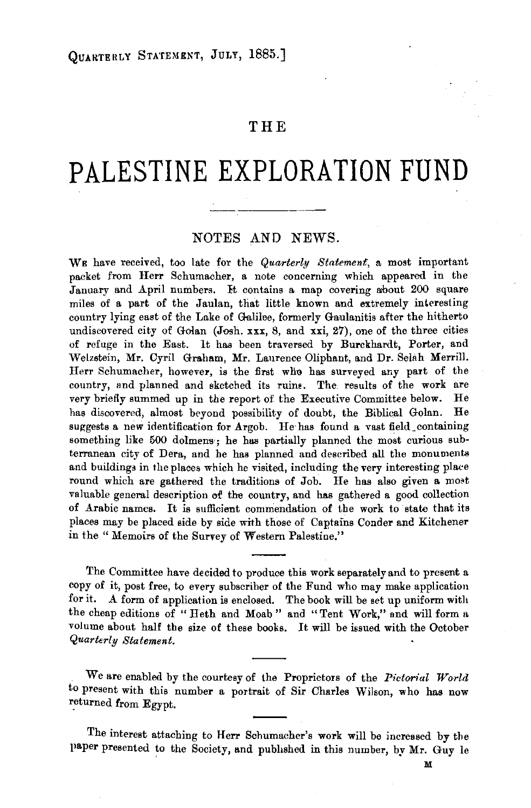## **THE**

## **PALESTINE EXPLORATION FUND**

## NOTES AND NEWS.

WE have received, too late for the *Quarterly Statement*, a most important packet from Herr Schumacher, a note concerning which appeared in the January and April numbers. It contains a map covering about 200 square miles of a part of the Jaulan, that little known and extremely interesting country lying east of the Lake of Galilee, formerly Gamlanitis after the hitherto undiscovered city of Golan (Josh. xxx, 8, and xxi, 27), one of the three cities of refuge in the East. lt has been traversed by Burckhardt, Porter, and Welzstein, Mr. Cyril Graham, Mr. Laurence Oliphant, and Dr. Selah Merrill. Herr Schumacher, however, is the first wllo has surveyed any part of the country, and planned and sketched its ruine. The results of the work are very briefly summed up in the report of. the Executive Committee below. He has discovered, almost beyond possibility of doubt, the Biblical Golan. He suggests a new identification for Argob. He has found a vast field containing something like 500 dolmens; he has partially planned the most curious subterranean city of Dera, and he has planned and described all the monuments and buildings in the places which he visited, including the very interesting place round which are gathered the traditions of Job. He has also given a most valuable general description of the country, and has gathered a good collection of Arabic names. It is sufficient commendation of the work to state that its places may be placed side by side with those of Captains Conder and Kitchener in the " Memoirs of the Survey of Western Palestine."

The Committee have decided to produce this work separately and to present a copy of it, post free, to every subscriber of the Fund who may make application for it. A form of application is enclosed. The book will be set up uniform with the cheap editions of "Heth and Moab" and "Tent Work," and will form a volume about half the size of these books. It will be issued with the October *Quarterly Statement.* 

We are enabled by the courtesy of the Proprietors of the *Pictorial World*  to present with this number a portrait of Sir Charles Wilson, who has now returned from Egypt.

The interest attaching to Herr Schumacher's work will be increased by the }laper presented to the Society, and published in this number, by Mr. Guy le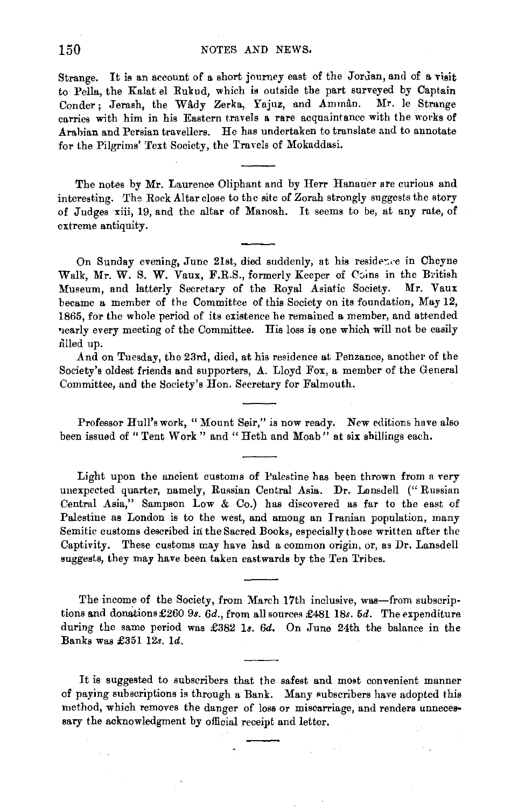Strange. It is an account of a short journey east of the Jordan, and of a visit to Pella, the Kalat el Rukud, which is outside the part surveyed by Captain Conder; Jerash, the Wady Zerka, Yajuz, and Amman. Mr. le Strange carries with him in his Eastern travels a rare acquaintance with the works of Arabian and Persian travellers. He has undertaken to translate and to annotate for the Pilgrims' Text Society, the Travels of Mokaddasi.

The notes by Mr. Laurence Oliphant and by Herr Hanauer are curious and interesting. The Rock Altar close to the site of Zorah strongly suggests the story of Judges xiii, 19, and the altar of Manoah. It seems to be, at any rate, of extreme antiquity.

On Sunday evening, June 21st, died suddenly, at his residence in Cheyne Walk, Mr. W. S. W. Vaux, F.R.S., formerly Keeper of Coins in the British :Museum, and latterly Secretary of the Royal Asiatic Society. Mr. Vaux became a member of the Committee of this Society on its foundation, May 12, 1865, for the whole period of its existence he remained a member, and attended nearly every meeting of the Committee. His loss is one which will not be easily filled up.

And on Tuesday, the 23rd, died, at his residence at Penzance, another of the Society's oldest friends and supporters, A. Lloyd Fox, a member of the General Committee, and the Society's Hon. Secretary for Falmouth.

Professor Hull's work, "Mount Seir," is now ready. New editions have also been issued of "Tent Work" and "Heth and Moab" at six shillings each.

Light upon the ancient customs of Palestine has been thrown from a very unexpected quarter, namely, Russian Central Asia. Dr. Lansdell ("Russian Central Asia," Sampson Low & Co.) has discovered as far to the east of Palestine as London is to the west, and among an Iranian population, many Semitic customs described in the Sacred Books, especially those written after the Captivity. These customs may have had a common origin, or, as Dr. Lansdell suggests, they may have been taken eastwards by the Ten Tribes.

The income of the Society, from March 17th inclusive, was-from subscriptions and donations £260 9s. 6d., from all sources £481 18s. 5d. The expenditure during the same period was £382 1s. 6d. On June 24th the balance in the Banks was £351 *12s.* ld.

It is suggested to subscribers that the safest and most convenient manner of paying subscriptions is through a Bank. Many subscribers have adopted this method, which removes the danger of loss or miscarriage, and renders unnecessary the acknowledgment by official receipt and letter.